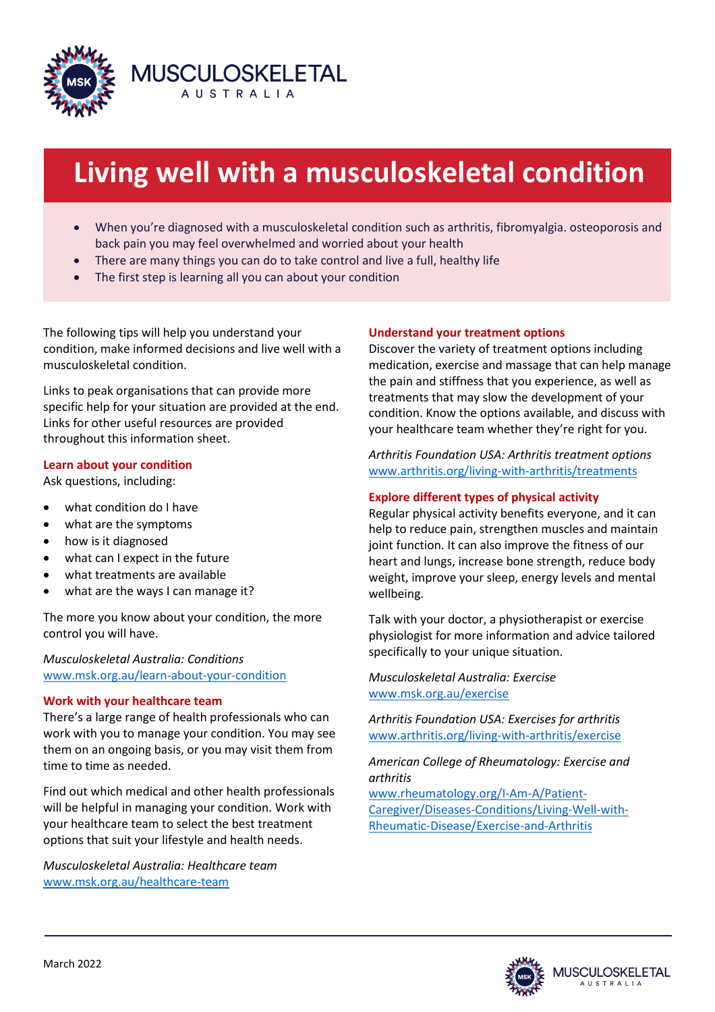

# **Living well with a musculoskeletal condition**

- When you're diagnosed with a musculoskeletal condition such as arthritis, fibromyalgia. osteoporosis and back pain you may feel overwhelmed and worried about your health
- There are many things you can do to take control and live a full, healthy life
- The first step is learning all you can about your condition

The following tips will help you understand your condition, make informed decisions and live well with a musculoskeletal condition.

Links to peak organisations that can provide more specific help for your situation are provided at the end. Links for other useful resources are provided throughout this information sheet.

# **Learn about your condition**

Ask questions, including:

- what condition do I have
- what are the symptoms
- how is it diagnosed
- what can I expect in the future
- what treatments are available
- what are the ways I can manage it?

The more you know about your condition, the more control you will have.

*Musculoskeletal Australia: Conditions* [www.msk.org.au/learn-about-your-condition](http://www.msk.org.au/learn-about-your-condition)

#### **Work with your healthcare team**

There's a large range of health professionals who can work with you to manage your condition. You may see them on an ongoing basis, or you may visit them from time to time as needed.

Find out which medical and other health professionals will be helpful in managing your condition. Work with your healthcare team to select the best treatment options that suit your lifestyle and health needs.

*Musculoskeletal Australia: Healthcare team*  [www.msk.org.au/healthcare-team](http://www.msk.org.au/healthcare-team)

# **Understand your treatment options**

Discover the variety of treatment options including medication, exercise and massage that can help manage the pain and stiffness that you experience, as well as treatments that may slow the development of your condition. Know the options available, and discuss with your healthcare team whether they're right for you.

*Arthritis Foundation USA: Arthritis treatment options* [www.arthritis.org/living-with-arthritis/treatments](http://www.arthritis.org/living-with-arthritis/treatments)

# **Explore different types of physical activity**

Regular physical activity benefits everyone, and it can help to reduce pain, strengthen muscles and maintain joint function. It can also improve the fitness of our heart and lungs, increase bone strength, reduce body weight, improve your sleep, energy levels and mental wellbeing.

Talk with your doctor, a physiotherapist or exercise physiologist for more information and advice tailored specifically to your unique situation.

*Musculoskeletal Australia: Exercise* [www.msk.org.au/exercise](http://www.msk.org.au/exercise)

*Arthritis Foundation USA: Exercises for arthritis* [www.arthritis.org/living-with-arthritis/exercise](http://www.arthritis.org/living-with-arthritis/exercise) 

*American College of Rheumatology: Exercise and arthritis* 

[www.rheumatology.org/I-Am-A/Patient-](http://www.rheumatology.org/I-Am-A/Patient-Caregiver/Diseases-Conditions/Living-Well-with-Rheumatic-Disease/Exercise-and-Arthritis)[Caregiver/Diseases-Conditions/Living-Well-with-](http://www.rheumatology.org/I-Am-A/Patient-Caregiver/Diseases-Conditions/Living-Well-with-Rheumatic-Disease/Exercise-and-Arthritis)[Rheumatic-Disease/Exercise-and-Arthritis](http://www.rheumatology.org/I-Am-A/Patient-Caregiver/Diseases-Conditions/Living-Well-with-Rheumatic-Disease/Exercise-and-Arthritis) 

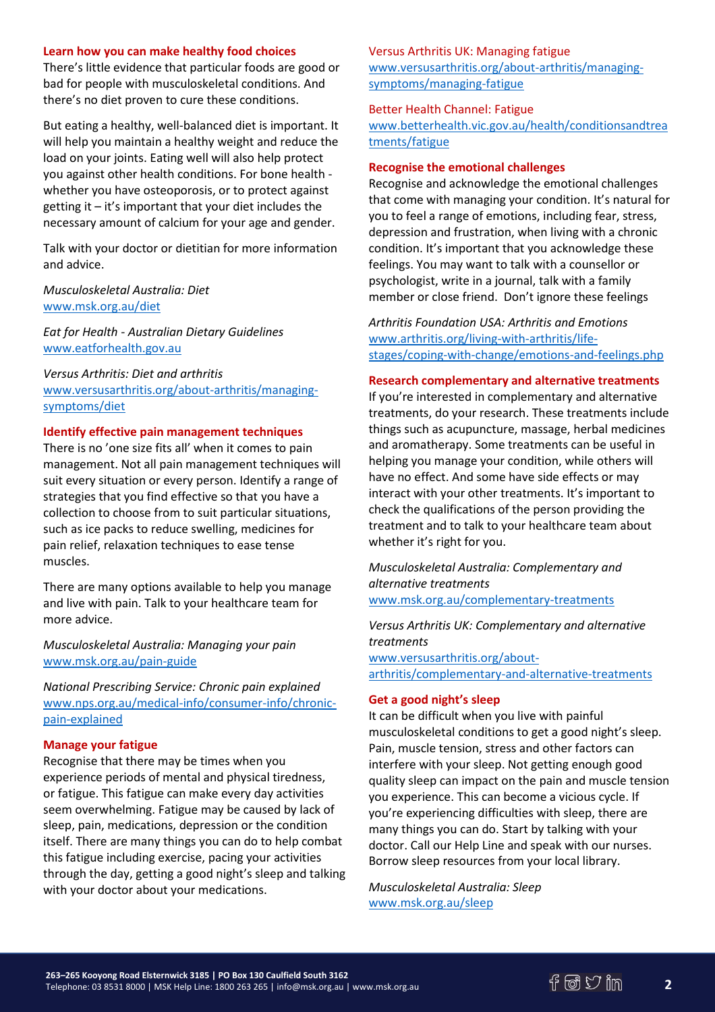#### **Learn how you can make healthy food choices**

There's little evidence that particular foods are good or bad for people with musculoskeletal conditions. And there's no diet proven to cure these conditions.

But eating a healthy, well-balanced diet is important. It will help you maintain a healthy weight and reduce the load on your joints. Eating well will also help protect you against other health conditions. For bone health whether you have osteoporosis, or to protect against getting it – it's important that your diet includes the necessary amount of calcium for your age and gender.

Talk with your doctor or dietitian for more information and advice.

# *Musculoskeletal Australia: Diet* [www.msk.org.au/diet](http://www.msk.org.au/diet)

*Eat for Health - Australian Dietary Guidelines* [www.eatforhealth.gov.au](http://www.eatforhealth.gov.au/)

*Versus Arthritis: Diet and arthritis*  [www.versusarthritis.org/about-arthritis/managing](http://www.versusarthritis.org/about-arthritis/managing-symptoms/diet)[symptoms/diet](http://www.versusarthritis.org/about-arthritis/managing-symptoms/diet) 

#### **Identify effective pain management techniques**

There is no 'one size fits all' when it comes to pain management. Not all pain management techniques will suit every situation or every person. Identify a range of strategies that you find effective so that you have a collection to choose from to suit particular situations, such as ice packs to reduce swelling, medicines for pain relief, relaxation techniques to ease tense muscles.

There are many options available to help you manage and live with pain. Talk to your healthcare team for more advice.

# *Musculoskeletal Australia: Managing your pain* [www.msk.org.au/pain-guide](http://www.msk.org.au/pain-guide)

*National Prescribing Service: Chronic pain explained* [www.nps.org.au/medical-info/consumer-info/chronic](http://www.nps.org.au/medical-info/consumer-info/chronic-pain-explained)[pain-explained](http://www.nps.org.au/medical-info/consumer-info/chronic-pain-explained) 

#### **Manage your fatigue**

Recognise that there may be times when you experience periods of mental and physical tiredness, or fatigue. This fatigue can make every day activities seem overwhelming. Fatigue may be caused by lack of sleep, pain, medications, depression or the condition itself. There are many things you can do to help combat this fatigue including exercise, pacing your activities through the day, getting a good night's sleep and talking with your doctor about your medications.

## Versus Arthritis UK: Managing fatigue

[www.versusarthritis.org/about-arthritis/managing](http://www.versusarthritis.org/about-arthritis/managing-symptoms/managing-fatigue)[symptoms/managing-fatigue](http://www.versusarthritis.org/about-arthritis/managing-symptoms/managing-fatigue) 

#### Better Health Channel: Fatigue

[www.betterhealth.vic.gov.au/health/conditionsandtrea](http://www.betterhealth.vic.gov.au/health/conditionsandtreatments/fatigue) [tments/fatigue](http://www.betterhealth.vic.gov.au/health/conditionsandtreatments/fatigue)

#### **Recognise the emotional challenges**

Recognise and acknowledge the emotional challenges that come with managing your condition. It's natural for you to feel a range of emotions, including fear, stress, depression and frustration, when living with a chronic condition. It's important that you acknowledge these feelings. You may want to talk with a counsellor or psychologist, write in a journal, talk with a family member or close friend. Don't ignore these feelings

*Arthritis Foundation USA: Arthritis and Emotions* [www.arthritis.org/living-with-arthritis/life](http://www.arthritis.org/living-with-arthritis/life-stages/coping-with-change/emotions-and-feelings.php)[stages/coping-with-change/emotions-and-feelings.php](http://www.arthritis.org/living-with-arthritis/life-stages/coping-with-change/emotions-and-feelings.php) 

#### **Research complementary and alternative treatments**

If you're interested in complementary and alternative treatments, do your research. These treatments include things such as acupuncture, massage, herbal medicines and aromatherapy. Some treatments can be useful in helping you manage your condition, while others will have no effect. And some have side effects or may interact with your other treatments. It's important to check the qualifications of the person providing the treatment and to talk to your healthcare team about whether it's right for you.

*Musculoskeletal Australia: Complementary and alternative treatments*

[www.msk.org.au/complementary-treatments](http://www.msk.org.au/complementary-treatments)

*Versus Arthritis UK: Complementary and alternative treatments* [www.versusarthritis.org/about-](http://www.versusarthritis.org/about-arthritis/complementary-and-alternative-treatments)

[arthritis/complementary-and-alternative-treatments](http://www.versusarthritis.org/about-arthritis/complementary-and-alternative-treatments)

#### **Get a good night's sleep**

It can be difficult when you live with painful musculoskeletal conditions to get a good night's sleep. Pain, muscle tension, stress and other factors can interfere with your sleep. Not getting enough good quality sleep can impact on the pain and muscle tension you experience. This can become a vicious cycle. If you're experiencing difficulties with sleep, there are many things you can do. Start by talking with your doctor. Call our Help Line and speak with our nurses. Borrow sleep resources from your local library.

*Musculoskeletal Australia: Sleep* [www.msk.org.au/sleep](http://www.msk.org.au/sleep/)

**2**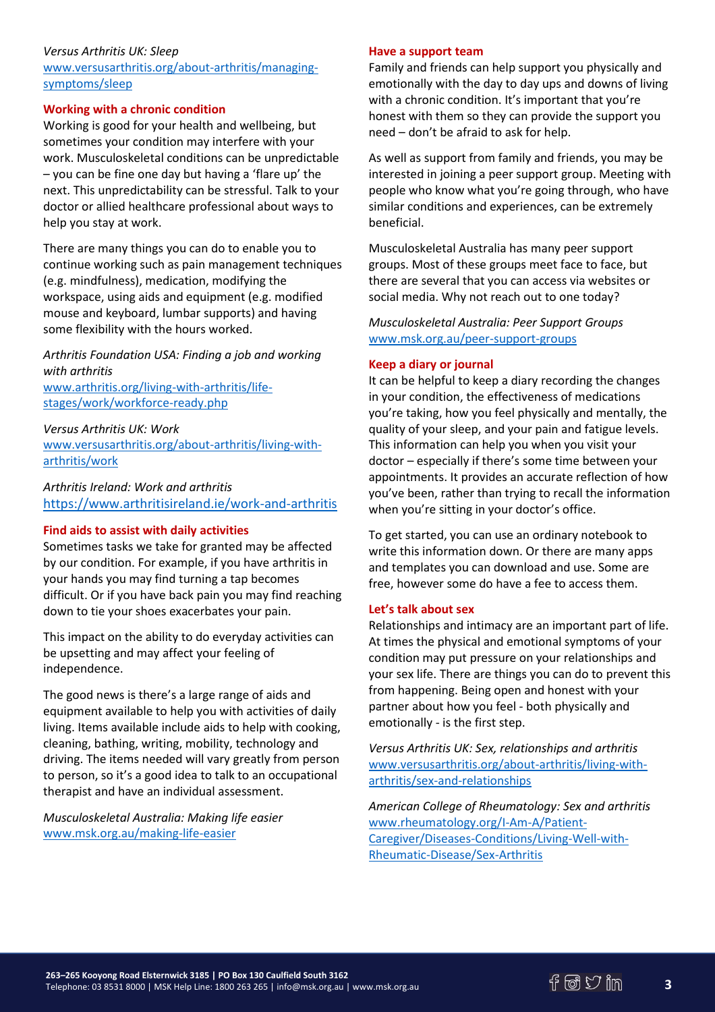## *Versus Arthritis UK: Sleep*

[www.versusarthritis.org/about-arthritis/managing](http://www.versusarthritis.org/about-arthritis/managing-symptoms/sleep/)[symptoms/sleep](http://www.versusarthritis.org/about-arthritis/managing-symptoms/sleep/)

## **Working with a chronic condition**

Working is good for your health and wellbeing, but sometimes your condition may interfere with your work. Musculoskeletal conditions can be unpredictable – you can be fine one day but having a 'flare up' the next. This unpredictability can be stressful. Talk to your doctor or allied healthcare professional about ways to help you stay at work.

There are many things you can do to enable you to continue working such as pain management techniques (e.g. mindfulness), medication, modifying the workspace, using aids and equipment (e.g. modified mouse and keyboard, lumbar supports) and having some flexibility with the hours worked.

*Arthritis Foundation USA: Finding a job and working with arthritis* [www.arthritis.org/living-with-arthritis/life-](http://www.arthritis.org/living-with-arthritis/life-stages/work/workforce-ready.php)

[stages/work/workforce-ready.php](http://www.arthritis.org/living-with-arthritis/life-stages/work/workforce-ready.php)

*Versus Arthritis UK: Work*  [www.versusarthritis.org/about-arthritis/living-with](http://www.versusarthritis.org/about-arthritis/living-with-arthritis/work/)[arthritis/work](http://www.versusarthritis.org/about-arthritis/living-with-arthritis/work/)

*Arthritis Ireland: Work and arthritis* <https://www.arthritisireland.ie/work-and-arthritis>

# **Find aids to assist with daily activities**

Sometimes tasks we take for granted may be affected by our condition. For example, if you have arthritis in your hands you may find turning a tap becomes difficult. Or if you have back pain you may find reaching down to tie your shoes exacerbates your pain.

This impact on the ability to do everyday activities can be upsetting and may affect your feeling of independence.

The good news is there's a large range of aids and equipment available to help you with activities of daily living. Items available include aids to help with cooking, cleaning, bathing, writing, mobility, technology and driving. The items needed will vary greatly from person to person, so it's a good idea to talk to an occupational therapist and have an individual assessment.

*Musculoskeletal Australia: Making life easier*  [www.msk.org.au/making-life-easier](http://www.msk.org.au/making-life-easier/)

#### **Have a support team**

Family and friends can help support you physically and emotionally with the day to day ups and downs of living with a chronic condition. It's important that you're honest with them so they can provide the support you need – don't be afraid to ask for help.

As well as support from family and friends, you may be interested in joining a peer support group. Meeting with people who know what you're going through, who have similar conditions and experiences, can be extremely beneficial.

Musculoskeletal Australia has many peer support groups. Most of these groups meet face to face, but there are several that you can access via websites or social media. Why not reach out to one today?

*Musculoskeletal Australia: Peer Support Groups* [www.msk.org.au/peer-support-groups](http://www.msk.org.au/peer-support-groups/)

#### **Keep a diary or journal**

It can be helpful to keep a diary recording the changes in your condition, the effectiveness of medications you're taking, how you feel physically and mentally, the quality of your sleep, and your pain and fatigue levels. This information can help you when you visit your doctor – especially if there's some time between your appointments. It provides an accurate reflection of how you've been, rather than trying to recall the information when you're sitting in your doctor's office.

To get started, you can use an ordinary notebook to write this information down. Or there are many apps and templates you can download and use. Some are free, however some do have a fee to access them.

# **Let's talk about sex**

Relationships and intimacy are an important part of life. At times the physical and emotional symptoms of your condition may put pressure on your relationships and your sex life. There are things you can do to prevent this from happening. Being open and honest with your partner about how you feel - both physically and emotionally - is the first step.

*Versus Arthritis UK: Sex, relationships and arthritis* [www.versusarthritis.org/about-arthritis/living-with](http://www.versusarthritis.org/about-arthritis/living-with-arthritis/sex-and-relationships)[arthritis/sex-and-relationships](http://www.versusarthritis.org/about-arthritis/living-with-arthritis/sex-and-relationships)

*American College of Rheumatology: Sex and arthritis* [www.rheumatology.org/I-Am-A/Patient-](http://www.rheumatology.org/I-Am-A/Patient-Caregiver/Diseases-Conditions/Living-Well-with-Rheumatic-Disease/Sex-Arthritis)[Caregiver/Diseases-Conditions/Living-Well-with-](http://www.rheumatology.org/I-Am-A/Patient-Caregiver/Diseases-Conditions/Living-Well-with-Rheumatic-Disease/Sex-Arthritis)[Rheumatic-Disease/Sex-Arthritis](http://www.rheumatology.org/I-Am-A/Patient-Caregiver/Diseases-Conditions/Living-Well-with-Rheumatic-Disease/Sex-Arthritis)

**3**